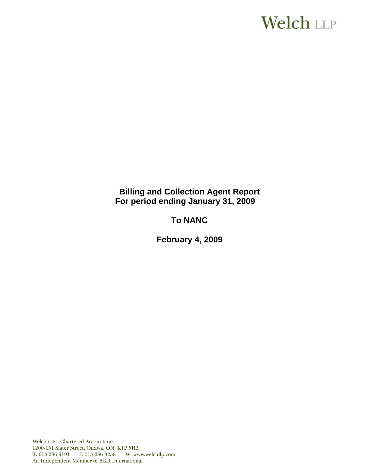# **Welch LLP**

# **Billing and Collection Agent Report For period ending January 31, 2009**

# **To NANC**

 **February 4, 2009**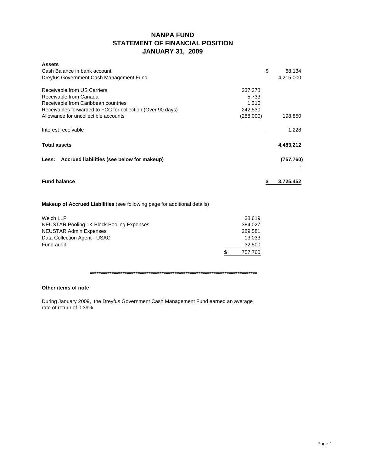# **NANPA FUND STATEMENT OF FINANCIAL POSITION JANUARY 31, 2009**

| <b>Assets</b><br>Cash Balance in bank account<br>Dreyfus Government Cash Management Fund                                                                   |                                      | \$ | 68,134<br>4,215,000 |
|------------------------------------------------------------------------------------------------------------------------------------------------------------|--------------------------------------|----|---------------------|
| Receivable from US Carriers<br>Receivable from Canada<br>Receivable from Caribbean countries<br>Receivables forwarded to FCC for collection (Over 90 days) | 237,278<br>5,733<br>1,310<br>242,530 |    |                     |
| Allowance for uncollectible accounts                                                                                                                       | (288,000)                            |    | 198,850             |
| Interest receivable                                                                                                                                        |                                      |    | 1,228               |
| <b>Total assets</b>                                                                                                                                        |                                      |    | 4,483,212           |
| Less: Accrued liabilities (see below for makeup)                                                                                                           |                                      |    | (757, 760)          |
| <b>Fund balance</b>                                                                                                                                        |                                      | S  | 3,725,452           |
| <b>Makeup of Accrued Liabilities</b> (see following page for additional details)                                                                           |                                      |    |                     |
| <b>Welch LLP</b>                                                                                                                                           | 38,619                               |    |                     |
| <b>NEUSTAR Pooling 1K Block Pooling Expenses</b>                                                                                                           | 384,027                              |    |                     |
| <b>NEUSTAR Admin Expenses</b>                                                                                                                              | 289,581                              |    |                     |
| Data Collection Agent - USAC                                                                                                                               | 13,033                               |    |                     |
| Fund audit                                                                                                                                                 | 32,500                               |    |                     |
|                                                                                                                                                            | \$<br>757.760                        |    |                     |

**\*\*\*\*\*\*\*\*\*\*\*\*\*\*\*\*\*\*\*\*\*\*\*\*\*\*\*\*\*\*\*\*\*\*\*\*\*\*\*\*\*\*\*\*\*\*\*\*\*\*\*\*\*\*\*\*\*\*\*\*\*\*\*\*\*\*\*\*\*\*\*\*\*\*\*\*\***

### **Other items of note**

During January 2009, the Dreyfus Government Cash Management Fund earned an average rate of return of 0.39%.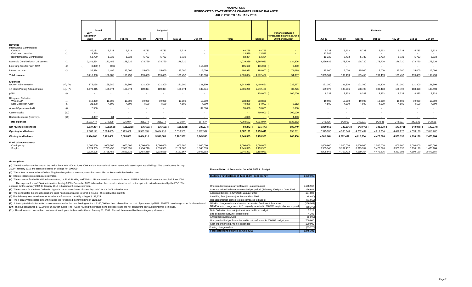#### **NANPA FUND FORECASTED STATEMENT OF CHANGES IN FUND BALANCEJULY 2008 TO JANUARY 2010**

|                                                                     |            | Actual                     |                 |                          |                          | <b>Budgeted</b> |                 |                          |                   |                   |                                                                    |                 |                 |                 | <b>Estimated</b> |                          |                 |                 |
|---------------------------------------------------------------------|------------|----------------------------|-----------------|--------------------------|--------------------------|-----------------|-----------------|--------------------------|-------------------|-------------------|--------------------------------------------------------------------|-----------------|-----------------|-----------------|------------------|--------------------------|-----------------|-----------------|
|                                                                     |            | July -<br>December<br>2008 | Jan-09          | Feb-09                   | Mar-09                   | Apr-09          | Mav-09          | Jun-09                   | Total             | <b>Budget</b>     | Variance between<br>forecasted balance at June<br>30/08 and budget | <b>Jul-09</b>   | Aug-09          | Sep-09          | $Oct-09$         | Nov-09                   | Dec-09          | <b>Jan-10</b>   |
| Revenue<br><b>International Contributions</b><br>Canada             | (1)        | 40,131                     | 5,733           | 5,733                    | 5,733                    | 5,733           | 5,732           |                          | 68,795            | 68,795            |                                                                    | 5,733           | 5,733           | 5,733           | 5,733            | 5,733                    | 5,733           | 5,733           |
| Caribbean countries                                                 | (1)        | 13,589                     | $\sim$          | $\overline{\phantom{a}}$ |                          | $\sim$          | $\sim$          | $\overline{\phantom{a}}$ | 13,589            | 13.589            |                                                                    | 13,589          | $\sim$          |                 | $\sim$           | $\sim$                   |                 | $\sim$          |
| <b>Total International Contributions</b>                            |            | 53,720                     | 5,733           | 5,733                    | 5,733                    | 5,733           | 5,732           | $\overline{\phantom{a}}$ | 82,384            | 82,384            |                                                                    | 19,322          | 5,733           | 5,733           | 5,733            | 5,733                    | 5,733           | 5,733           |
| Domestic Contributions - US carriers                                | (1)        | 3,141,554                  | 173,455         | 178,720                  | 178,720                  | 178,720         | 178,720         |                          | 4,029,889         | 3,895,083         | 134,806                                                            | 2,269,639       | 178,720         | 178,720         | 178,720          | 178,720                  | 178,720         | 178,720         |
| Late filing fees for Form 499A                                      | (2)        | 8,800)                     | 600)            |                          |                          |                 |                 | 115,000                  | 105,600           | 115,000           | 9,400                                                              | $\sim$          |                 | $\sim$          | $\sim$           | $\overline{\phantom{a}}$ |                 |                 |
| Interest income                                                     | (3)        | 32,484                     | 1.497           | 15,000                   | 15,000                   | 15,000          | 15,000          | 15,000                   | 108.981           | 180,000           | 71,019)                                                            | 15,000          | 15,000          | 15,000          | 15,000           | 15,000                   | 15,000          | 15,000          |
| <b>Total revenue</b>                                                |            | 3,218,958                  | 180,085         | 199.453                  | 199,453                  | 199,453         | 199,452         | 130,000                  | 4.326.854         | 4,272,467         | 54,387                                                             | 2.303.961       | 199.453         | 199,453         | 199,453          | 199,453                  | 199,453         | 199,453         |
| <b>Expenses</b><br><b>NANPA Administration</b>                      | (4), (8)   | 872,058                    | 165,380         | 121,300                  | 121,300                  | 121,300         | 121,300         | 121,300                  | 1.643.938         | 1,408,661         | 235,277                                                            | 121,300         | 121,300         | 121,300         | 121,300          | 121,300                  | 121,300         | 121,300         |
| 1K Block Pooling Administration                                     | (4), (7)   | 1,170,015                  | 189,374         | 189,374                  | 189,374                  | 189,374         | 189,374         | 189,374                  | 2,306,259         | 2,272,483         | 33,776                                                             | 189,373         | 188,936         | 188,498         | 188,498          | 188,498                  | 188,498         | 188,498         |
| pANI                                                                | (9)        | <b>.</b>                   | $\sim$          | $\overline{\phantom{a}}$ | $\overline{\phantom{a}}$ | $\sim$          | $\sim$          |                          |                   | 100,000           | 100,000)                                                           | 8,333           | 8,333           | 8,333           | 8,333            | 8,333                    | 8,333           | 8,333           |
| <b>Billing and Collection</b><br>Welch LLP<br>Data Collection Agent | (4)<br>(5) | 119,400<br>21,888          | 19,900<br>4.500 | 19,900<br>4.500          | 19,900<br>4.500          | 19,900<br>4,500 | 19,900<br>4.500 | 19,900<br>4.500          | 238,800<br>48,888 | 238,800<br>54,000 | 5,112)                                                             | 19,900<br>4.500 | 19,900<br>4.500 | 19,900<br>4.500 | 19,900<br>4.500  | 19,900<br>4.500          | 19,900<br>4.500 | 19,900<br>4,500 |
| <b>Annual Operations Audit</b>                                      | (6)        | 2,500                      |                 |                          |                          |                 |                 | 32,500                   | 35,000            | 30,000            | 5,000                                                              | . .             |                 |                 |                  | $\sim$                   |                 |                 |
| <b>Carrier Audits</b>                                               | (10)       |                            |                 |                          |                          |                 |                 |                          | <b>College</b>    | 700,000           | 700,000)                                                           |                 |                 |                 |                  |                          |                 |                 |
| Bad debt expense (recovery)                                         | (11)       | 4,387)                     | 84              |                          |                          |                 | $\sim$          |                          | 4,303             | <b>Contract</b>   | 4,303                                                              |                 |                 | $\sim$          |                  |                          |                 |                 |
| <b>Total expenses</b>                                               |            | 2,181,474                  | 379,238         | 335.074                  | 335.074                  | 335,074         | 335.074         | 367,574                  | 4.268.582         | 4.803.944         | (535, 362)                                                         | 343,406         | 342.969         | 342,531         | 342,531          | 342.531                  | 342,531         | 342,531         |
| Net revenue (expenses)                                              |            | 1,037,484                  | 199,153)        | 135,621)                 | 135,621) (               | 135,621)        | 135,622)        | 237,574)                 | 58,272            | 531,477)          | 589,749                                                            | 1,960,555       | 143,516) (      | 143,078)        | 143,078) (       | 143,078) (               | 143,078)        | 143,078)        |
| <b>Opening fund balance</b>                                         |            | 2,887,121                  | 3,924,605       | 3,725,452                | 3,589,831                | 3,454,210       | 3,318,589       | 3,182,967                | 2,887,121         | 2,730,440         | 156,681                                                            | 2,945,393       | 4,905,948       | 4,762,432       | 4,619,354        | 4,476,276                | 4,333,198       | 2,616,262       |
| <b>Closing fund balance</b>                                         |            | 3,924,605                  | 3,725,452       | 3,589,831                | 3,454,210                | 3,318,589       | 3,182,967       | 2,945,393                | 2,945,393         | 2,198,963         | 746,430                                                            | 4,905,948       | 4,762,432       | 4,619,354       | 4,476,276        | 4,333,198                | 4,190,120       | 2,473,184       |
| Fund balance makeup:                                                |            | 1,000,000                  | 1.000.000       | 1,000,000                | 1,000,000                | 1,000,000       | 1,000,000       | 1,000,000                | 1.000.000         | 1,000,000         |                                                                    | 1,000,000       | 1,000,000       | 1,000,000       | 1,000,000        | 1,000,000                | 1,000,000       | 1,000,000       |
| Contingency<br>Surplus                                              |            | 2,924,605                  | 2,725,452       | 2.589.831                | 2,454,210                | 2.318.589       | 2.182.967       | 1.945.393                | 1.945.393         | 1,198,963         |                                                                    | 3.905.948       | 3,762,432       | 3,619,354       | 3.476.276        | 3.333.198                | 3,190,120       | 1,473,184       |
|                                                                     |            | 3,924,605                  | 3,725,452       | 3,589,831                | 3,454,210                | 3,318,589       | 3,182,967       | 2,945,393                | 2,945,393         | 2,198,963         |                                                                    | 4,905,948       | 4,762,432       | 4,619,354       | 4,476,276        | 4.333.198                | 4,190,120       | 2,473,184       |

#### **Assumptions:**

**(1)** The US carrier contributions for the period from July 2008 to June 2009 and the International carrier revenue is based upon actual billings The contributions for July<br>2009 - January 2010 are estimated based on billin

**(2)** These fees represent the \$100 late filing fee charged to those companies that do not file the Form 499A by the due date.

**(3)** Interest income projections are estimates

**(4)** The expenses for the NANPA Administration, 1K Block Pooling and Welch LLP are based on contracts in force. NANPA Administration contract expired June 2008.

The expense for NANPA Administration for July 2008 - December 2008 is based on the current contract based on the option to extend exercised by the FCC. The expense for the January 2009 to January 2010 is based on the new e

(5) The expense for the Data Collection Agent is based on estimate of costs by USAC for the 2008 calendar year.

**(6)** The contract for the annual operations audit has been awarded to Ernst & Young. The cost will be \$32,500

(7) The February forecasted amount includes the forecasted monthly billing of \$189,375

**(8)** The February forecasted amount includes the forecasted monthly billing of \$121,300.

(9) Interim p-ANNI administration is now covered under the new Pooling contract. \$100,000 has been allowed for the cost of permanent pANI in 2008/09. No change order has been issue

(10) The budget allowed \$700,000 for 16 carrier audits. The FCC is revising the procurement procedure and are not conducting any audits until this is in place.

(11) The allowance covers all accounts considered potentially uncollectible at January 31, 2009. This will be covered by the contingency allowance.

#### **Reconciliation of Forecast at June 30, 2009 to Budget**

| Budgeted fund balance at June 30/09 - contingency                                  |            |  |  |  |  |  |
|------------------------------------------------------------------------------------|------------|--|--|--|--|--|
|                                                                                    |            |  |  |  |  |  |
|                                                                                    |            |  |  |  |  |  |
| Unexpended surplus carried forward - as per budget                                 | 1,198,963  |  |  |  |  |  |
| Increase in fund balance between budget period (February 2008) and June 2008       | 156,681    |  |  |  |  |  |
| Additional billings in July 2008 -January 2009                                     | 134,806    |  |  |  |  |  |
| Late filing fees (reversal) for Form 499A - 2008                                   | (9,400)    |  |  |  |  |  |
| Reduced interest earned to date compared to budget                                 | (71, 019)  |  |  |  |  |  |
| NANP - change orders and contract extension fixed monthly amount                   | (166, 904) |  |  |  |  |  |
| NANP Admin change order #15 originally included in 2007/08 surplus but not expende | (68, 373)  |  |  |  |  |  |
| Data Collection fees - Adjustment to actual from budget                            | 5.112      |  |  |  |  |  |
| Bad debts (recovery) not budgeted for                                              | 4.303      |  |  |  |  |  |
| <b>Annual Operations Audit</b>                                                     | (5,000)    |  |  |  |  |  |
| Unexpended budget for carrier audits not performed in 2008/09 budget year          | 700,000    |  |  |  |  |  |
| Cost of permanent pANI not expended                                                | 100.000    |  |  |  |  |  |
| Pooling change orders                                                              | (33, 776)  |  |  |  |  |  |
| Forecasted fund balance at June 30/09                                              | 2.945.393  |  |  |  |  |  |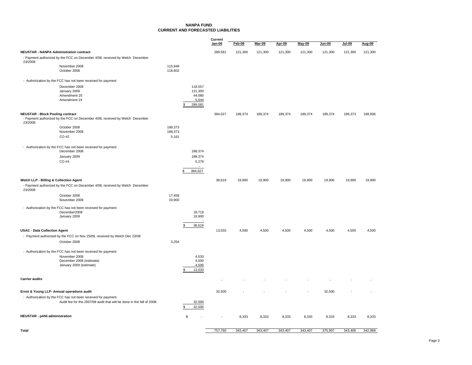### **NANPA FUNDCURRENT AND FORECASTED LIABILITIES**

|                                         |                                                                              |                    |                          | Current<br>Jan-09 | <b>Feb-09</b> | <b>Mar-09</b> | Apr-09  | <b>May-09</b> | Jun-09  | Jul-09  | Aug-09  |
|-----------------------------------------|------------------------------------------------------------------------------|--------------------|--------------------------|-------------------|---------------|---------------|---------|---------------|---------|---------|---------|
|                                         | <b>NEUSTAR - NANPA Administration contract</b>                               |                    |                          | 289,581           | 121,300       | 121,300       | 121,300 | 121,300       | 121,300 | 121,300 | 121,300 |
|                                         | - Payment authorized by the FCC on December 4/08, received by Welch December |                    |                          |                   |               |               |         |               |         |         |         |
| 23/2008                                 | November 2008                                                                | 115,948            |                          |                   |               |               |         |               |         |         |         |
|                                         | October 2008                                                                 | 118,602            |                          |                   |               |               |         |               |         |         |         |
|                                         | - Authorization by the FCC has not been received for payment                 |                    |                          |                   |               |               |         |               |         |         |         |
|                                         | December 2008<br>January 2009                                                |                    | 118,557<br>121,300       |                   |               |               |         |               |         |         |         |
|                                         | Amendment 25                                                                 |                    | 44,080                   |                   |               |               |         |               |         |         |         |
|                                         | Amendment 24                                                                 | \$                 | 5,644<br>289,581         |                   |               |               |         |               |         |         |         |
| <b>NEUSTAR - Block Pooling contract</b> |                                                                              |                    |                          | 384,027           | 189,374       | 189,374       | 189,374 | 189,374       | 189,374 | 189,373 | 188,936 |
| 23/2008                                 | - Payment authorized by the FCC on December 4/08, received by Welch December |                    |                          |                   |               |               |         |               |         |         |         |
|                                         | October 2008<br>November 2008                                                | 189,373<br>189,373 |                          |                   |               |               |         |               |         |         |         |
|                                         | CO #2                                                                        | 5,161              |                          |                   |               |               |         |               |         |         |         |
|                                         | - Authorization by the FCC has not been received for payment                 |                    |                          |                   |               |               |         |               |         |         |         |
|                                         | December 2008                                                                |                    | 189,374                  |                   |               |               |         |               |         |         |         |
|                                         | January 2009                                                                 |                    | 189,374                  |                   |               |               |         |               |         |         |         |
|                                         | CO #4                                                                        |                    | 5,279                    |                   |               |               |         |               |         |         |         |
|                                         |                                                                              | \$                 | 384,027                  |                   |               |               |         |               |         |         |         |
| Welch LLP - Billing & Collection Agent  |                                                                              |                    |                          | 38,619            | 19,900        | 19,900        | 19,900  | 19,900        | 19,900  | 19,900  | 19,900  |
| 23/2008                                 | - Payment authorized by the FCC on December 4/08, received by Welch December |                    |                          |                   |               |               |         |               |         |         |         |
|                                         | October 2008<br>November 2008                                                | 17,459<br>19,900   |                          |                   |               |               |         |               |         |         |         |
|                                         | - Authorization by the FCC has not been received for payment                 |                    |                          |                   |               |               |         |               |         |         |         |
|                                         | December2008<br>January 2009                                                 |                    | 18,719<br>19,900         |                   |               |               |         |               |         |         |         |
|                                         |                                                                              |                    | $\overline{\phantom{a}}$ |                   |               |               |         |               |         |         |         |
| <b>USAC - Data Collection Agent</b>     |                                                                              | \$                 | 38,619                   | 13,033            | 4,500         | 4,500         | 4,500   | 4,500         | 4,500   | 4,500   | 4,500   |
|                                         | - Payment authorized by the FCC on Nov 25/08, received by Welch Dec 23/08    |                    |                          |                   |               |               |         |               |         |         |         |
|                                         | October 2008                                                                 | 3,254              |                          |                   |               |               |         |               |         |         |         |
|                                         | - Authorization by the FCC has not been received for payment                 |                    |                          |                   |               |               |         |               |         |         |         |
|                                         | November 2008                                                                |                    | 4,033                    |                   |               |               |         |               |         |         |         |
|                                         | December 2008 (estimate)<br>January 2009 (estimate)                          |                    | 4,500<br>4,500           |                   |               |               |         |               |         |         |         |
|                                         |                                                                              | £.                 | 13,033                   |                   |               |               |         |               |         |         |         |
| <b>Carrier audits</b>                   |                                                                              |                    |                          |                   |               |               |         |               |         |         |         |
|                                         | Ernst & Young LLP- Annual operations audit                                   |                    |                          | 32,500            |               |               |         |               | 32,500  |         |         |
|                                         | - Authorization by the FCC has not been received for payment                 |                    |                          |                   |               |               |         |               |         |         |         |
|                                         | Audit fee for the 2007/08 audit that will be done in the fall of 2008.       | \$                 | 32,500<br>32,500         |                   |               |               |         |               |         |         |         |
| <b>NEUSTAR - pANI administration</b>    |                                                                              | <sup>\$</sup>      |                          | ÷,                | 8,333         | 8,333         | 8,333   | 8,333         | 8,333   | 8,333   | 8,333   |
| Total                                   |                                                                              |                    |                          | 757.760           | 343,407       | 343.407       | 343,407 | 343,407       | 375,907 | 343,406 | 342,969 |